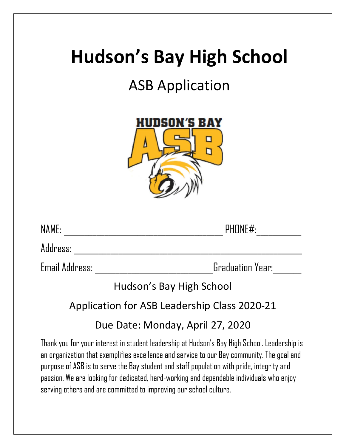# **Hudson's Bay High School**

## ASB Application



| NAME:          | PHONE#:                 |
|----------------|-------------------------|
| Address:       |                         |
| Email Address: | <b>Graduation Year:</b> |

#### Hudson's Bay High School

### Application for ASB Leadership Class 2020‐21

#### Due Date: Monday, April 27, 2020

Thank you for your interest in student leadership at Hudson's Bay High School. Leadership is an organization that exemplifies excellence and service to our Bay community. The goal and purpose of ASB is to serve the Bay student and staff population with pride, integrity and passion. We are looking for dedicated, hard-working and dependable individuals who enjoy serving others and are committed to improving our school culture.